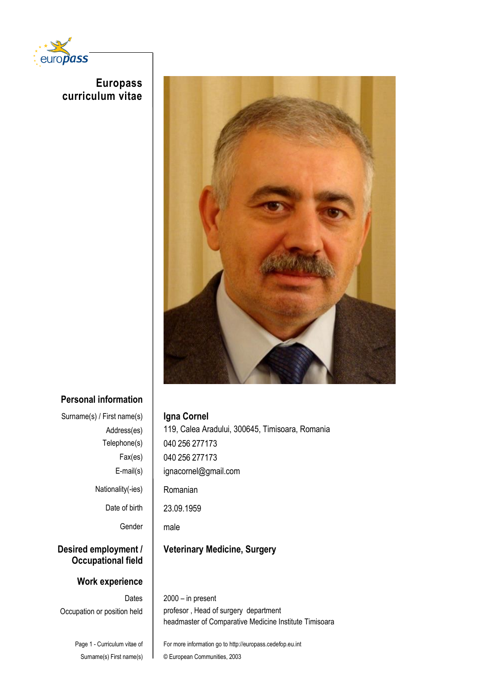

 **Europass curriculum vitae**



## **Personal information**

| Surname(s) / First name(s)                        |  |
|---------------------------------------------------|--|
| Address(es)                                       |  |
| Telephone(s)                                      |  |
| Fax(es)                                           |  |
| E-mail(s)                                         |  |
| Nationality(-ies)                                 |  |
| Date of birth                                     |  |
| Gender                                            |  |
| Desired employment /<br><b>Occupational field</b> |  |
| Work experience                                   |  |
| Dates                                             |  |
| Occupation or position held                       |  |
|                                                   |  |

**Igna Cornel** 119, Calea Aradului, 300645, Timisoara, Romania 040 256 277173 040 256 277173 ignacornel@gmail.com Romanian 23.09.1959 male **Veterinary Medicine, Surgery**  $2000 - in present$ profesor, Head of surgery department headmaster of Comparative Medicine Institute Timisoara

Page 1 - Curriculum vitae of Surname(s) First name(s)

## For more information go to http://europass.cedefop.eu.int © European Communities, 2003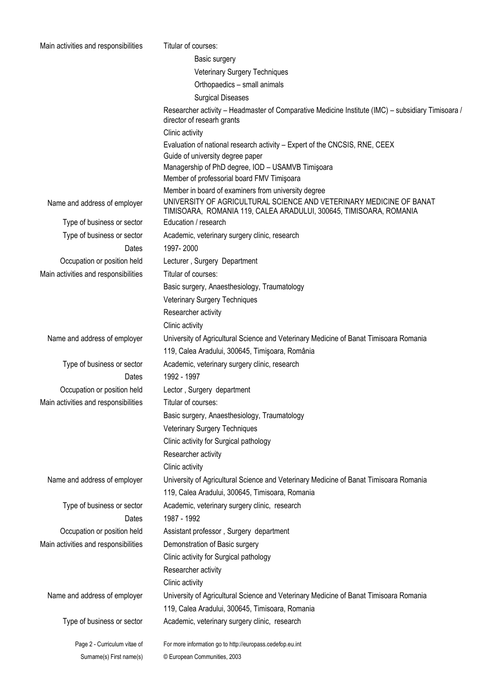| Main activities and responsibilities | Titular of courses:                                                                                                                       |  |  |  |  |
|--------------------------------------|-------------------------------------------------------------------------------------------------------------------------------------------|--|--|--|--|
|                                      | Basic surgery                                                                                                                             |  |  |  |  |
|                                      | Veterinary Surgery Techniques                                                                                                             |  |  |  |  |
|                                      | Orthopaedics - small animals                                                                                                              |  |  |  |  |
|                                      | <b>Surgical Diseases</b>                                                                                                                  |  |  |  |  |
|                                      | Researcher activity - Headmaster of Comparative Medicine Institute (IMC) - subsidiary Timisoara /<br>director of researh grants           |  |  |  |  |
|                                      | Clinic activity                                                                                                                           |  |  |  |  |
|                                      | Evaluation of national research activity - Expert of the CNCSIS, RNE, CEEX<br>Guide of university degree paper                            |  |  |  |  |
|                                      | Managership of PhD degree, IOD - USAMVB Timişoara<br>Member of professorial board FMV Timişoara                                           |  |  |  |  |
|                                      | Member in board of examiners from university degree                                                                                       |  |  |  |  |
| Name and address of employer         | UNIVERSITY OF AGRICULTURAL SCIENCE AND VETERINARY MEDICINE OF BANAT<br>TIMISOARA, ROMANIA 119, CALEA ARADULUI, 300645, TIMISOARA, ROMANIA |  |  |  |  |
| Type of business or sector           | Education / research                                                                                                                      |  |  |  |  |
| Type of business or sector           | Academic, veterinary surgery clinic, research                                                                                             |  |  |  |  |
| Dates                                | 1997-2000                                                                                                                                 |  |  |  |  |
| Occupation or position held          | Lecturer, Surgery Department                                                                                                              |  |  |  |  |
| Main activities and responsibilities | Titular of courses:                                                                                                                       |  |  |  |  |
|                                      | Basic surgery, Anaesthesiology, Traumatology                                                                                              |  |  |  |  |
|                                      | Veterinary Surgery Techniques                                                                                                             |  |  |  |  |
|                                      | Researcher activity                                                                                                                       |  |  |  |  |
|                                      | Clinic activity                                                                                                                           |  |  |  |  |
| Name and address of employer         | University of Agricultural Science and Veterinary Medicine of Banat Timisoara Romania                                                     |  |  |  |  |
|                                      | 119, Calea Aradului, 300645, Timişoara, România                                                                                           |  |  |  |  |
| Type of business or sector           | Academic, veterinary surgery clinic, research                                                                                             |  |  |  |  |
| Dates                                | 1992 - 1997                                                                                                                               |  |  |  |  |
| Occupation or position held          | Lector, Surgery department                                                                                                                |  |  |  |  |
| Main activities and responsibilities | Titular of courses:                                                                                                                       |  |  |  |  |
|                                      | Basic surgery, Anaesthesiology, Traumatology                                                                                              |  |  |  |  |
|                                      | Veterinary Surgery Techniques                                                                                                             |  |  |  |  |
|                                      | Clinic activity for Surgical pathology                                                                                                    |  |  |  |  |
|                                      | Researcher activity                                                                                                                       |  |  |  |  |
|                                      | Clinic activity                                                                                                                           |  |  |  |  |
| Name and address of employer         | University of Agricultural Science and Veterinary Medicine of Banat Timisoara Romania                                                     |  |  |  |  |
|                                      | 119, Calea Aradului, 300645, Timisoara, Romania                                                                                           |  |  |  |  |
| Type of business or sector           | Academic, veterinary surgery clinic, research                                                                                             |  |  |  |  |
| Dates                                | 1987 - 1992                                                                                                                               |  |  |  |  |
| Occupation or position held          | Assistant professor, Surgery department                                                                                                   |  |  |  |  |
| Main activities and responsibilities | Demonstration of Basic surgery                                                                                                            |  |  |  |  |
|                                      | Clinic activity for Surgical pathology                                                                                                    |  |  |  |  |
|                                      | Researcher activity                                                                                                                       |  |  |  |  |
|                                      | Clinic activity                                                                                                                           |  |  |  |  |
| Name and address of employer         | University of Agricultural Science and Veterinary Medicine of Banat Timisoara Romania                                                     |  |  |  |  |
|                                      | 119, Calea Aradului, 300645, Timisoara, Romania                                                                                           |  |  |  |  |
| Type of business or sector           | Academic, veterinary surgery clinic, research                                                                                             |  |  |  |  |
| Page 2 - Curriculum vitae of         | For more information go to http://europass.cedefop.eu.int                                                                                 |  |  |  |  |
| Surname(s) First name(s)             | © European Communities, 2003                                                                                                              |  |  |  |  |
|                                      |                                                                                                                                           |  |  |  |  |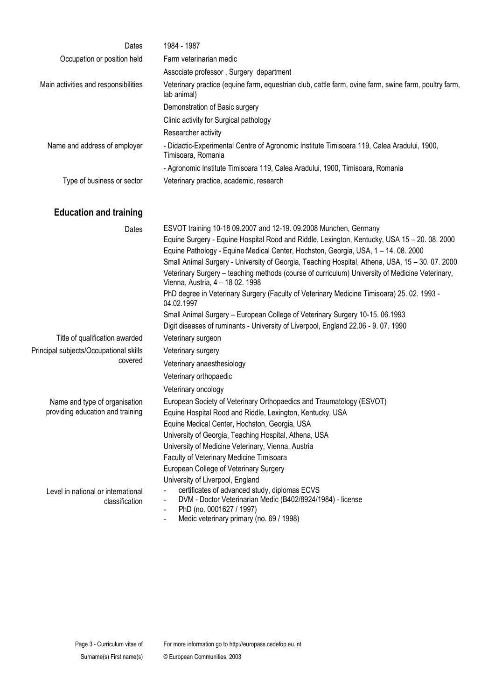| Dates                                | 1984 - 1987                                                                                                                                                                                                                                            |  |  |  |  |
|--------------------------------------|--------------------------------------------------------------------------------------------------------------------------------------------------------------------------------------------------------------------------------------------------------|--|--|--|--|
| Occupation or position held          | Farm veterinarian medic                                                                                                                                                                                                                                |  |  |  |  |
|                                      | Associate professor, Surgery department                                                                                                                                                                                                                |  |  |  |  |
| Main activities and responsibilities | Veterinary practice (equine farm, equestrian club, cattle farm, ovine farm, swine farm, poultry farm,<br>lab animal)                                                                                                                                   |  |  |  |  |
|                                      | Demonstration of Basic surgery                                                                                                                                                                                                                         |  |  |  |  |
|                                      | Clinic activity for Surgical pathology                                                                                                                                                                                                                 |  |  |  |  |
|                                      | Researcher activity                                                                                                                                                                                                                                    |  |  |  |  |
| Name and address of employer         | - Didactic-Experimental Centre of Agronomic Institute Timisoara 119, Calea Aradului, 1900,<br>Timisoara, Romania                                                                                                                                       |  |  |  |  |
|                                      | - Agronomic Institute Timisoara 119, Calea Aradului, 1900, Timisoara, Romania                                                                                                                                                                          |  |  |  |  |
| Type of business or sector           | Veterinary practice, academic, research                                                                                                                                                                                                                |  |  |  |  |
| <b>Education and training</b>        |                                                                                                                                                                                                                                                        |  |  |  |  |
| Dates                                | ESVOT training 10-18 09.2007 and 12-19. 09.2008 Munchen, Germany<br>Equine Surgery - Equine Hospital Rood and Riddle, Lexington, Kentucky, USA 15 - 20. 08. 2000<br>Equine Pathology - Equine Medical Center, Hochston, Georgia, USA, 1 - 14. 08. 2000 |  |  |  |  |

Equine Pathology - Equine Medical Center, Hochston, Georgia, USA, 1 – 14. 08. 2000 Small Animal Surgery - University of Georgia, Teaching Hospital, Athena, USA, 15 – 30. 07. 2000 Veterinary Surgery – teaching methods (course of curriculum) University of Medicine Veterinary, Vienna, Austria, 4 – 18 02. 1998 PhD degree in Veterinary Surgery (Faculty of Veterinary Medicine Timisoara) 25. 02. 1993 - 04.02.1997 Small Animal Surgery – European College of Veterinary Surgery 10-15. 06.1993 Digit diseases of ruminants - University of Liverpool, England 22.06 - 9. 07. 1990 Title of qualification awarded Veterinary surgeon Principal subjects/Occupational skills covered Veterinary surgery Veterinary anaesthesiology Veterinary orthopaedic Veterinary oncology Name and type of organisation providing education and training European Society of Veterinary Orthopaedics and Traumatology (ESVOT) Equine Hospital Rood and Riddle, Lexington, Kentucky, USA Equine Medical Center, Hochston, Georgia, USA University of Georgia, Teaching Hospital, Athena, USA University of Medicine Veterinary, Vienna, Austria Faculty of Veterinary Medicine Timisoara European College of Veterinary Surgery University of Liverpool, England Level in national or international classification certificates of advanced study, diplomas ECVS - DVM - Doctor Veterinarian Medic (B402/8924/1984) - license PhD (no. 0001627 / 1997)

Medic veterinary primary (no. 69 / 1998)

For more information go to http://europass.cedefop.eu.int © European Communities, 2003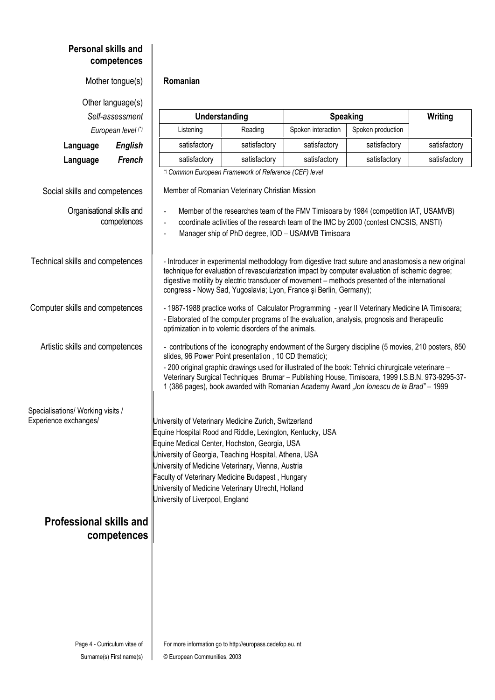| <b>Personal skills and</b>                                 | competences        |                                                                                                                                                                                                                                                                                                                                                                                                                                                                  |                                                        |                                                                    |                                                                                                                                                                                                                                                                                                          |              |  |  |
|------------------------------------------------------------|--------------------|------------------------------------------------------------------------------------------------------------------------------------------------------------------------------------------------------------------------------------------------------------------------------------------------------------------------------------------------------------------------------------------------------------------------------------------------------------------|--------------------------------------------------------|--------------------------------------------------------------------|----------------------------------------------------------------------------------------------------------------------------------------------------------------------------------------------------------------------------------------------------------------------------------------------------------|--------------|--|--|
|                                                            | Mother tongue(s)   | Romanian                                                                                                                                                                                                                                                                                                                                                                                                                                                         |                                                        |                                                                    |                                                                                                                                                                                                                                                                                                          |              |  |  |
| Other language(s)                                          |                    |                                                                                                                                                                                                                                                                                                                                                                                                                                                                  |                                                        |                                                                    |                                                                                                                                                                                                                                                                                                          |              |  |  |
|                                                            | Self-assessment    | Understanding                                                                                                                                                                                                                                                                                                                                                                                                                                                    |                                                        | <b>Speaking</b>                                                    |                                                                                                                                                                                                                                                                                                          | Writing      |  |  |
|                                                            | European level (*) | Listening                                                                                                                                                                                                                                                                                                                                                                                                                                                        | Reading                                                | Spoken interaction                                                 | Spoken production                                                                                                                                                                                                                                                                                        |              |  |  |
| Language                                                   | <b>English</b>     | satisfactory                                                                                                                                                                                                                                                                                                                                                                                                                                                     | satisfactory                                           | satisfactory                                                       | satisfactory                                                                                                                                                                                                                                                                                             | satisfactory |  |  |
| Language                                                   | <b>French</b>      | satisfactory                                                                                                                                                                                                                                                                                                                                                                                                                                                     | satisfactory                                           | satisfactory                                                       | satisfactory                                                                                                                                                                                                                                                                                             | satisfactory |  |  |
|                                                            |                    |                                                                                                                                                                                                                                                                                                                                                                                                                                                                  | (*) Common European Framework of Reference (CEF) level |                                                                    |                                                                                                                                                                                                                                                                                                          |              |  |  |
| Social skills and competences                              |                    |                                                                                                                                                                                                                                                                                                                                                                                                                                                                  | Member of Romanian Veterinary Christian Mission        |                                                                    |                                                                                                                                                                                                                                                                                                          |              |  |  |
| Organisational skills and                                  | competences        | $\Box$<br>$\frac{1}{2}$                                                                                                                                                                                                                                                                                                                                                                                                                                          |                                                        | Manager ship of PhD degree, IOD - USAMVB Timisoara                 | Member of the researches team of the FMV Timisoara by 1984 (competition IAT, USAMVB)<br>coordinate activities of the research team of the IMC by 2000 (contest CNCSIS, ANSTI)                                                                                                                            |              |  |  |
| Technical skills and competences                           |                    |                                                                                                                                                                                                                                                                                                                                                                                                                                                                  |                                                        | congress - Nowy Sad, Yugoslavia; Lyon, France și Berlin, Germany); | - Introducer in experimental methodology from digestive tract suture and anastomosis a new original<br>technique for evaluation of revascularization impact by computer evaluation of ischemic degree;<br>digestive motility by electric transducer of movement - methods presented of the international |              |  |  |
| Computer skills and competences                            |                    | - 1987-1988 practice works of Calculator Programming - year II Veterinary Medicine IA Timisoara;<br>- Elaborated of the computer programs of the evaluation, analysis, prognosis and therapeutic<br>optimization in to volemic disorders of the animals.                                                                                                                                                                                                         |                                                        |                                                                    |                                                                                                                                                                                                                                                                                                          |              |  |  |
| Artistic skills and competences                            |                    | - contributions of the iconography endowment of the Surgery discipline (5 movies, 210 posters, 850<br>slides, 96 Power Point presentation, 10 CD thematic);<br>- 200 original graphic drawings used for illustrated of the book: Tehnici chirurgicale veterinare -<br>Veterinary Surgical Techniques Brumar - Publishing House, Timisoara, 1999 I.S.B.N. 973-9295-37-<br>1 (386 pages), book awarded with Romanian Academy Award "Ion Ionescu de la Brad" - 1999 |                                                        |                                                                    |                                                                                                                                                                                                                                                                                                          |              |  |  |
| Specialisations/ Working visits /<br>Experience exchanges/ |                    | University of Veterinary Medicine Zurich, Switzerland<br>Equine Hospital Rood and Riddle, Lexington, Kentucky, USA<br>Equine Medical Center, Hochston, Georgia, USA<br>University of Georgia, Teaching Hospital, Athena, USA<br>University of Medicine Veterinary, Vienna, Austria<br>Faculty of Veterinary Medicine Budapest, Hungary<br>University of Medicine Veterinary Utrecht, Holland<br>University of Liverpool, England                                 |                                                        |                                                                    |                                                                                                                                                                                                                                                                                                          |              |  |  |
| <b>Professional skills and</b>                             | competences        |                                                                                                                                                                                                                                                                                                                                                                                                                                                                  |                                                        |                                                                    |                                                                                                                                                                                                                                                                                                          |              |  |  |
| Page 4 - Curriculum vitae of                               |                    |                                                                                                                                                                                                                                                                                                                                                                                                                                                                  |                                                        |                                                                    |                                                                                                                                                                                                                                                                                                          |              |  |  |
| Surname(s) First name(s)                                   |                    | For more information go to http://europass.cedefop.eu.int<br>© European Communities, 2003                                                                                                                                                                                                                                                                                                                                                                        |                                                        |                                                                    |                                                                                                                                                                                                                                                                                                          |              |  |  |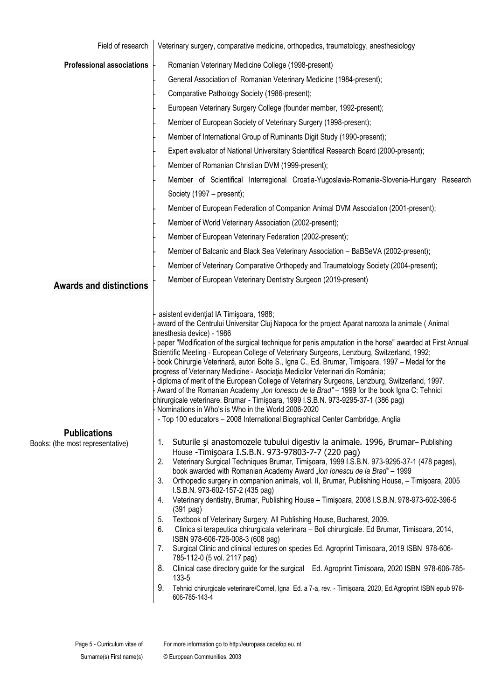| Field of research                                                  | Veterinary surgery, comparative medicine, orthopedics, traumatology, anesthesiology                                                                                                                                                                                                                                                                                                                                                                                                                                                                                                                                                                                                                                                                                                                                                                                                                                                                                                                                                                                                                                                                                                                                                                                                                                                                                                                                                                                                                                                                                                                                                                                                                                                                                                                                                                                                                                                                                                                                                                                                                                                                                                                                       |  |  |  |  |
|--------------------------------------------------------------------|---------------------------------------------------------------------------------------------------------------------------------------------------------------------------------------------------------------------------------------------------------------------------------------------------------------------------------------------------------------------------------------------------------------------------------------------------------------------------------------------------------------------------------------------------------------------------------------------------------------------------------------------------------------------------------------------------------------------------------------------------------------------------------------------------------------------------------------------------------------------------------------------------------------------------------------------------------------------------------------------------------------------------------------------------------------------------------------------------------------------------------------------------------------------------------------------------------------------------------------------------------------------------------------------------------------------------------------------------------------------------------------------------------------------------------------------------------------------------------------------------------------------------------------------------------------------------------------------------------------------------------------------------------------------------------------------------------------------------------------------------------------------------------------------------------------------------------------------------------------------------------------------------------------------------------------------------------------------------------------------------------------------------------------------------------------------------------------------------------------------------------------------------------------------------------------------------------------------------|--|--|--|--|
| <b>Professional associations</b><br><b>Awards and distinctions</b> | Romanian Veterinary Medicine College (1998-present)<br>General Association of Romanian Veterinary Medicine (1984-present);<br>Comparative Pathology Society (1986-present);<br>European Veterinary Surgery College (founder member, 1992-present);<br>Member of European Society of Veterinary Surgery (1998-present);<br>Member of International Group of Ruminants Digit Study (1990-present);<br>Expert evaluator of National Universitary Scientifical Research Board (2000-present);<br>Member of Romanian Christian DVM (1999-present);<br>Member of Scientifical Interregional Croatia-Yugoslavia-Romania-Slovenia-Hungary Research<br>Society (1997 – present);<br>Member of European Federation of Companion Animal DVM Association (2001-present);<br>Member of World Veterinary Association (2002-present);<br>Member of European Veterinary Federation (2002-present);<br>Member of Balcanic and Black Sea Veterinary Association - BaBSeVA (2002-present);<br>Member of Veterinary Comparative Orthopedy and Traumatology Society (2004-present);<br>Member of European Veterinary Dentistry Surgeon (2019-present)                                                                                                                                                                                                                                                                                                                                                                                                                                                                                                                                                                                                                                                                                                                                                                                                                                                                                                                                                                                                                                                                                          |  |  |  |  |
| <b>Publications</b><br>Books: (the most representative)            | asistent evidențiat IA Timișoara, 1988;<br>award of the Centrului Universitar Cluj Napoca for the project Aparat narcoza la animale (Animal<br>anesthesia device) - 1986<br>paper "Modification of the surgical technique for penis amputation in the horse" awarded at First Annual<br>Scientific Meeting - European College of Veterinary Surgeons, Lenzburg, Switzerland, 1992;<br>book Chirurgie Veterinară, autori Bolte S., Igna C., Ed. Brumar, Timișoara, 1997 – Medal for the<br>progress of Veterinary Medicine - Asociația Medicilor Veterinari din România;<br>diploma of merit of the European College of Veterinary Surgeons, Lenzburg, Switzerland, 1997.<br>Award of the Romanian Academy "Ion Ionescu de la Brad" - 1999 for the book Igna C: Tehnici<br>chirurgicale veterinare. Brumar - Timişoara, 1999 I.S.B.N. 973-9295-37-1 (386 pag)<br>Nominations in Who's is Who in the World 2006-2020<br>- Top 100 educators - 2008 International Biographical Center Cambridge, Anglia<br>Suturile și anastomozele tubului digestiv la animale. 1996, Brumar-Publishing<br>1.<br>House - Timișoara I.S.B.N. 973-97803-7-7 (220 pag)<br>Veterinary Surgical Techniques Brumar, Timișoara, 1999 I.S.B.N. 973-9295-37-1 (478 pages),<br>2.<br>book awarded with Romanian Academy Award "Ion Ionescu de la Brad" - 1999<br>Orthopedic surgery in companion animals, vol. II, Brumar, Publishing House, - Timișoara, 2005<br>3.<br>I.S.B.N. 973-602-157-2 (435 pag)<br>Veterinary dentistry, Brumar, Publishing House - Timișoara, 2008 I.S.B.N. 978-973-602-396-5<br>4.<br>$(391$ pag)<br>Textbook of Veterinary Surgery, All Publishing House, Bucharest, 2009.<br>5.<br>Clinica si terapeutica chirurgicala veterinara - Boli chirurgicale. Ed Brumar, Timisoara, 2014,<br>6.<br>ISBN 978-606-726-008-3 (608 pag)<br>Surgical Clinic and clinical lectures on species Ed. Agroprint Timisoara, 2019 ISBN 978-606-<br>7.<br>785-112-0 (5 vol. 2117 pag)<br>Clinical case directory guide for the surgical Ed. Agroprint Timisoara, 2020 ISBN 978-606-785-<br>୪.<br>133-5<br>9.<br>Tehnici chirurgicale veterinare/Cornel, Igna Ed. a 7-a, rev. - Timișoara, 2020, Ed.Agroprint ISBN epub 978-<br>606-785-143-4 |  |  |  |  |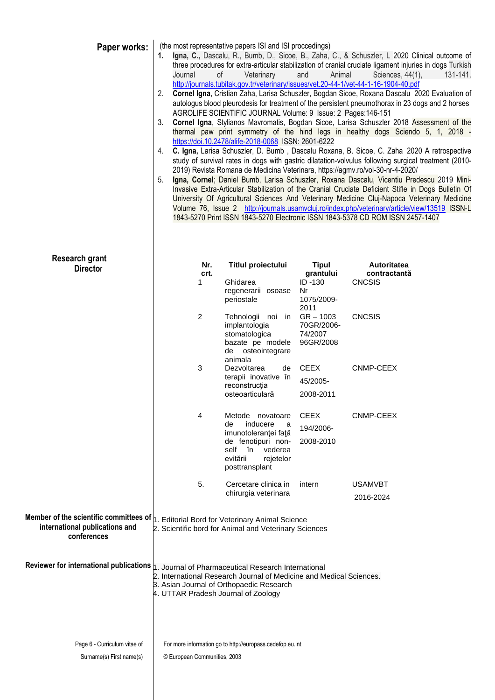| Paper works:                                                                                                                                 | (the most representative papers ISI and ISI proccedings)<br>Igna, C., Dascalu, R., Bumb, D., Sicoe, B., Zaha, C., & Schuszler, L 2020 Clinical outcome of<br>1.<br>three procedures for extra-articular stabilization of cranial cruciate ligament injuries in dogs Turkish<br>Journal<br>of<br>Veterinary<br>Animal<br>Sciences, 44(1),<br>131-141.<br>and<br>http://journals.tubitak.gov.tr/veterinary/issues/vet.20-44-1/vet-44-1-16-1904-40.pdf<br>Cornel Igna, Cristian Zaha, Larisa Schuszler, Bogdan Sicoe, Roxana Dascalu 2020 Evaluation of<br>2.<br>autologus blood pleurodesis for treatment of the persistent pneumothorax in 23 dogs and 2 horses<br>AGROLIFE SCIENTIFIC JOURNAL Volume: 9 Issue: 2 Pages:146-151<br>Cornel Igna, Stylianos Mavromatis, Bogdan Sicoe, Larisa Schuszler 2018 Assessment of the<br>3.<br>thermal paw print symmetry of the hind legs in healthy dogs Sciendo 5, 1, 2018 -<br>https://doi.10.2478/alife-2018-0068 ISSN: 2601-6222<br>C. Igna, Larisa Schuszler, D. Bumb, Dascalu Roxana, B. Sicoe, C. Zaha 2020 A retrospective<br>4.<br>study of survival rates in dogs with gastric dilatation-volvulus following surgical treatment (2010-<br>2019) Revista Romana de Medicina Veterinara, https://agmv.ro/vol-30-nr-4-2020/<br>Igna, Cornel; Daniel Bumb, Larisa Schuszler, Roxana Dascalu, Vicentiu Predescu 2019 Mini-<br>5.<br>Invasive Extra-Articular Stabilization of the Cranial Cruciate Deficient Stifle in Dogs Bulletin Of<br>University Of Agricultural Sciences And Veterinary Medicine Cluj-Napoca Veterinary Medicine<br>Volume 76, Issue 2 http://journals.usamvcluj.ro/index.php/veterinary/article/view/13519 ISSN-L<br>1843-5270 Print ISSN 1843-5270 Electronic ISSN 1843-5378 CD ROM ISSN 2457-1407 |                                                                                                                                                                        |                                                   |                                    |  |  |
|----------------------------------------------------------------------------------------------------------------------------------------------|------------------------------------------------------------------------------------------------------------------------------------------------------------------------------------------------------------------------------------------------------------------------------------------------------------------------------------------------------------------------------------------------------------------------------------------------------------------------------------------------------------------------------------------------------------------------------------------------------------------------------------------------------------------------------------------------------------------------------------------------------------------------------------------------------------------------------------------------------------------------------------------------------------------------------------------------------------------------------------------------------------------------------------------------------------------------------------------------------------------------------------------------------------------------------------------------------------------------------------------------------------------------------------------------------------------------------------------------------------------------------------------------------------------------------------------------------------------------------------------------------------------------------------------------------------------------------------------------------------------------------------------------------------------------------------------------------------------------------------------------------------------------|------------------------------------------------------------------------------------------------------------------------------------------------------------------------|---------------------------------------------------|------------------------------------|--|--|
| <b>Research grant</b>                                                                                                                        |                                                                                                                                                                                                                                                                                                                                                                                                                                                                                                                                                                                                                                                                                                                                                                                                                                                                                                                                                                                                                                                                                                                                                                                                                                                                                                                                                                                                                                                                                                                                                                                                                                                                                                                                                                        |                                                                                                                                                                        |                                                   |                                    |  |  |
| <b>Director</b>                                                                                                                              | Nr.<br>crt.                                                                                                                                                                                                                                                                                                                                                                                                                                                                                                                                                                                                                                                                                                                                                                                                                                                                                                                                                                                                                                                                                                                                                                                                                                                                                                                                                                                                                                                                                                                                                                                                                                                                                                                                                            | <b>Titlul proiectului</b>                                                                                                                                              | <b>Tipul</b><br>grantului                         | <b>Autoritatea</b><br>contractantă |  |  |
|                                                                                                                                              | 1                                                                                                                                                                                                                                                                                                                                                                                                                                                                                                                                                                                                                                                                                                                                                                                                                                                                                                                                                                                                                                                                                                                                                                                                                                                                                                                                                                                                                                                                                                                                                                                                                                                                                                                                                                      | Ghidarea<br>regenerarii osoase<br>periostale                                                                                                                           | ID-130<br>Nr<br>1075/2009-<br>2011                | <b>CNCSIS</b>                      |  |  |
|                                                                                                                                              | $\overline{2}$                                                                                                                                                                                                                                                                                                                                                                                                                                                                                                                                                                                                                                                                                                                                                                                                                                                                                                                                                                                                                                                                                                                                                                                                                                                                                                                                                                                                                                                                                                                                                                                                                                                                                                                                                         | Tehnologii noi in<br>implantologia<br>stomatologica<br>bazate pe modele<br>de osteointegrare<br>animala                                                                | $GR - 1003$<br>70GR/2006-<br>74/2007<br>96GR/2008 | <b>CNCSIS</b>                      |  |  |
|                                                                                                                                              | 3                                                                                                                                                                                                                                                                                                                                                                                                                                                                                                                                                                                                                                                                                                                                                                                                                                                                                                                                                                                                                                                                                                                                                                                                                                                                                                                                                                                                                                                                                                                                                                                                                                                                                                                                                                      | Dezvoltarea<br>de<br>terapii inovative în<br>reconstrucția<br>osteoarticulară                                                                                          | <b>CEEX</b><br>45/2005-<br>2008-2011              | CNMP-CEEX                          |  |  |
|                                                                                                                                              | 4                                                                                                                                                                                                                                                                                                                                                                                                                                                                                                                                                                                                                                                                                                                                                                                                                                                                                                                                                                                                                                                                                                                                                                                                                                                                                                                                                                                                                                                                                                                                                                                                                                                                                                                                                                      | Metode novatoare<br>de<br>inducere<br>a<br>imunotoleranței față<br>de fenotipuri non-<br>self<br>în<br>vederea<br>evitării<br>rejetelor<br>posttransplant              | <b>CEEX</b><br>194/2006-<br>2008-2010             | CNMP-CEEX                          |  |  |
|                                                                                                                                              | 5.                                                                                                                                                                                                                                                                                                                                                                                                                                                                                                                                                                                                                                                                                                                                                                                                                                                                                                                                                                                                                                                                                                                                                                                                                                                                                                                                                                                                                                                                                                                                                                                                                                                                                                                                                                     | Cercetare clinica in<br>chirurgia veterinara                                                                                                                           | intern                                            | USAMVBT<br>2016-2024               |  |  |
| Member of the scientific committees of $ _1$ . Editorial Bord for Veterinary Animal Science<br>international publications and<br>conferences |                                                                                                                                                                                                                                                                                                                                                                                                                                                                                                                                                                                                                                                                                                                                                                                                                                                                                                                                                                                                                                                                                                                                                                                                                                                                                                                                                                                                                                                                                                                                                                                                                                                                                                                                                                        | 2. Scientific bord for Animal and Veterinary Sciences                                                                                                                  |                                                   |                                    |  |  |
| Reviewer for international publications                                                                                                      | 4. UTTAR Pradesh Journal of Zoology                                                                                                                                                                                                                                                                                                                                                                                                                                                                                                                                                                                                                                                                                                                                                                                                                                                                                                                                                                                                                                                                                                                                                                                                                                                                                                                                                                                                                                                                                                                                                                                                                                                                                                                                    | 1. Journal of Pharmaceutical Research International<br>2. International Research Journal of Medicine and Medical Sciences.<br>3. Asian Journal of Orthopaedic Research |                                                   |                                    |  |  |
| Page 6 - Curriculum vitae of<br>Surname(s) First name(s)                                                                                     | For more information go to http://europass.cedefop.eu.int<br>© European Communities, 2003                                                                                                                                                                                                                                                                                                                                                                                                                                                                                                                                                                                                                                                                                                                                                                                                                                                                                                                                                                                                                                                                                                                                                                                                                                                                                                                                                                                                                                                                                                                                                                                                                                                                              |                                                                                                                                                                        |                                                   |                                    |  |  |